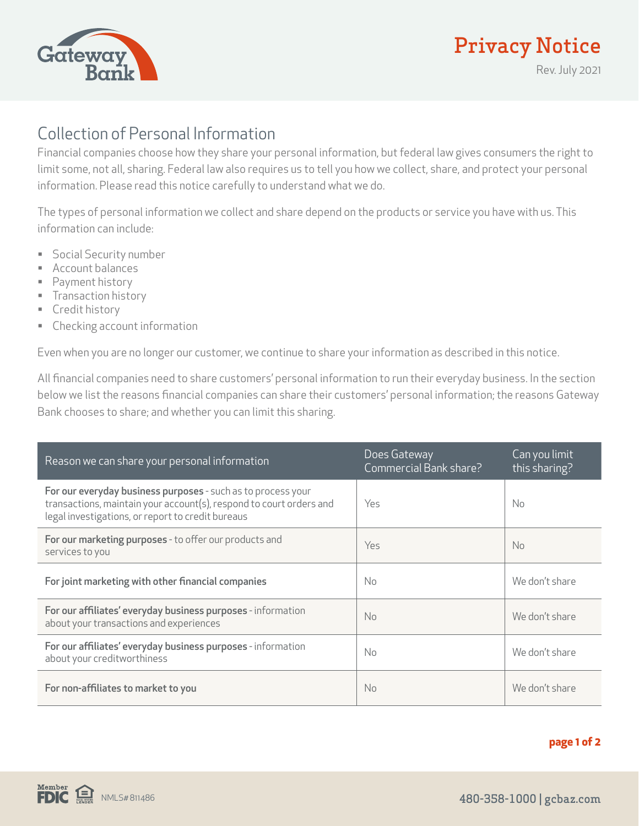

## Privacy Notice

Rev. July 2021

## Collection of Personal Information

Financial companies choose how they share your personal information, but federal law gives consumers the right to limit some, not all, sharing. Federal law also requires us to tell you how we collect, share, and protect your personal information. Please read this notice carefully to understand what we do.

The types of personal information we collect and share depend on the products or service you have with us. This information can include:

- Social Security number
- Account balances
- Payment history
- **Transaction history**
- Credit history
- Checking account information

Even when you are no longer our customer, we continue to share your information as described in this notice.

All financial companies need to share customers' personal information to run their everyday business. In the section below we list the reasons financial companies can share their customers' personal information; the reasons Gateway Bank chooses to share; and whether you can limit this sharing.

| Reason we can share your personal information                                                                                                                                            | Does Gateway<br>Commercial Bank share? | Can you limit<br>this sharing? |
|------------------------------------------------------------------------------------------------------------------------------------------------------------------------------------------|----------------------------------------|--------------------------------|
| For our everyday business purposes - such as to process your<br>transactions, maintain your account(s), respond to court orders and<br>legal investigations, or report to credit bureaus | Yes                                    | No.                            |
| For our marketing purposes - to offer our products and<br>services to you                                                                                                                | Yes                                    | <b>No</b>                      |
| For joint marketing with other financial companies                                                                                                                                       | No.                                    | We don't share                 |
| For our affiliates' everyday business purposes - information<br>about your transactions and experiences                                                                                  | No.                                    | We don't share                 |
| For our affiliates' everyday business purposes - information<br>about your creditworthiness                                                                                              | No.                                    | We don't share                 |
| For non-affiliates to market to you                                                                                                                                                      | N <sub>o</sub>                         | We don't share                 |

## **page 1 of 2**